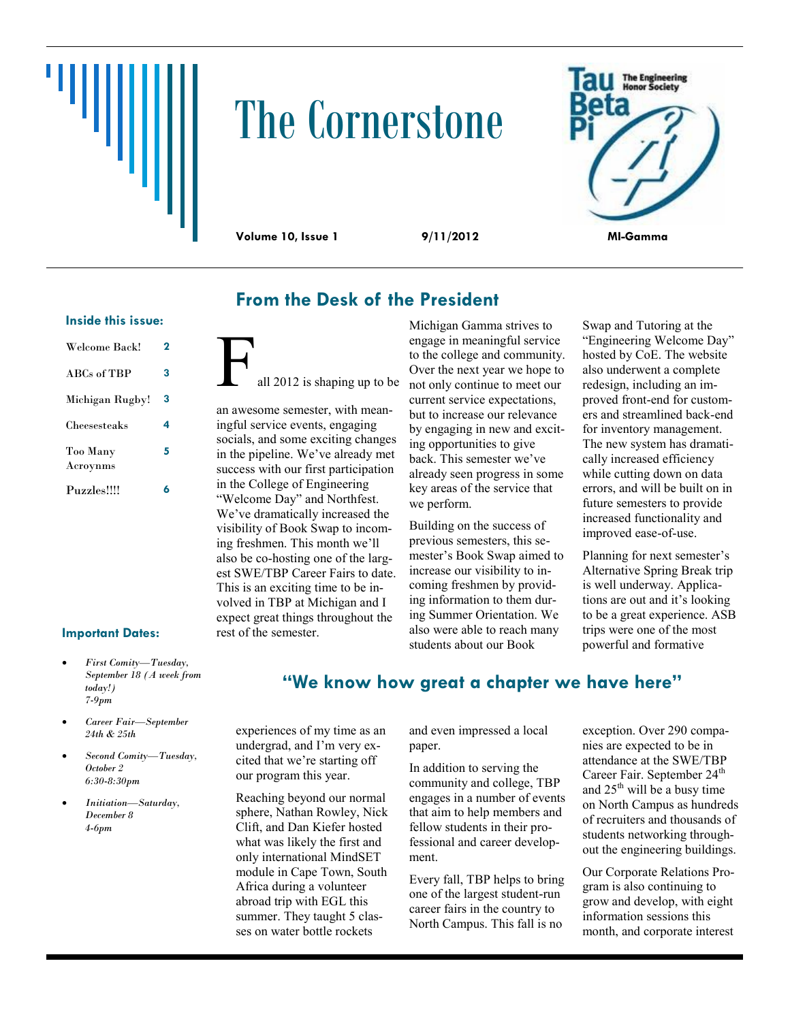# ‴삐

# The Cornerstone



### **From the Desk of the President**

### **Inside this issue:**

| Welcome Back!        | 2 |
|----------------------|---|
| ABCs of TBP          | 3 |
| Michigan Rugby!      | 3 |
| Cheesesteaks         | 4 |
| Too Many<br>Acroynms | 5 |
| Puzzles!!!!          | ħ |

### all 2012 is shaping up to be

an awesome semester, with meaningful service events, engaging socials, and some exciting changes in the pipeline. We've already met success with our first participation in the College of Engineering "Welcome Day" and Northfest. We've dramatically increased the visibility of Book Swap to incoming freshmen. This month we'll also be co-hosting one of the largest SWE/TBP Career Fairs to date. This is an exciting time to be involved in TBP at Michigan and I expect great things throughout the rest of the semester.

Michigan Gamma strives to engage in meaningful service to the college and community. Over the next year we hope to not only continue to meet our current service expectations, but to increase our relevance by engaging in new and exciting opportunities to give back. This semester we've already seen progress in some key areas of the service that we perform.

Building on the success of previous semesters, this semester's Book Swap aimed to increase our visibility to incoming freshmen by providing information to them during Summer Orientation. We also were able to reach many students about our Book

Swap and Tutoring at the "Engineering Welcome Day" hosted by CoE. The website also underwent a complete redesign, including an improved front-end for customers and streamlined back-end for inventory management. The new system has dramatically increased efficiency while cutting down on data errors, and will be built on in future semesters to provide increased functionality and improved ease-of-use.

Planning for next semester's Alternative Spring Break trip is well underway. Applications are out and it's looking to be a great experience. ASB trips were one of the most powerful and formative

### **Important Dates:**

- *First Comity—Tuesday, September 18 (A week from today!) 7-9pm*
- *Career Fair—September 24th & 25th*
- *Second Comity—Tuesday, October 2 6:30-8:30pm*
- *Initiation—Saturday, December 8 4-6pm*

**"We know how great a chapter we have here"**

experiences of my time as an undergrad, and I'm very excited that we're starting off our program this year.

Reaching beyond our normal sphere, Nathan Rowley, Nick Clift, and Dan Kiefer hosted what was likely the first and only international MindSET module in Cape Town, South Africa during a volunteer abroad trip with EGL this summer. They taught 5 classes on water bottle rockets

and even impressed a local paper.

In addition to serving the community and college, TBP engages in a number of events that aim to help members and fellow students in their professional and career development.

Every fall, TBP helps to bring one of the largest student-run career fairs in the country to North Campus. This fall is no

exception. Over 290 companies are expected to be in attendance at the SWE/TBP Career Fair. September 24<sup>th</sup> and 25<sup>th</sup> will be a busy time on North Campus as hundreds of recruiters and thousands of students networking throughout the engineering buildings.

Our Corporate Relations Program is also continuing to grow and develop, with eight information sessions this month, and corporate interest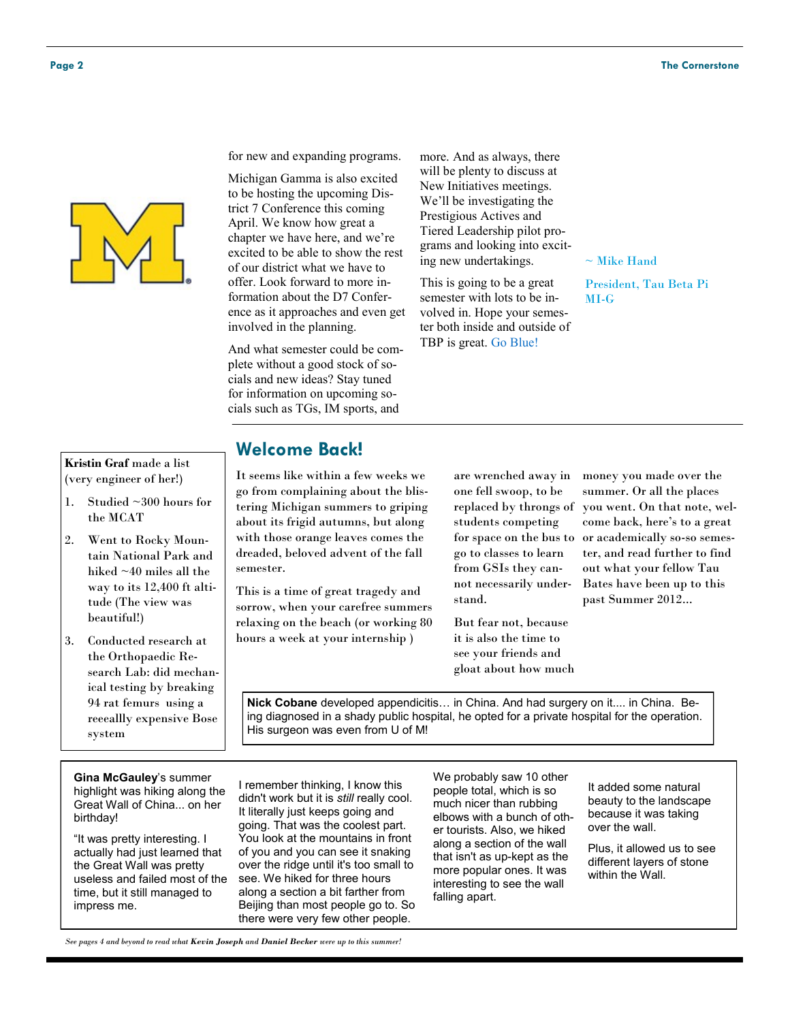

for new and expanding programs.

Michigan Gamma is also excited to be hosting the upcoming District 7 Conference this coming April. We know how great a chapter we have here, and we're excited to be able to show the rest of our district what we have to offer. Look forward to more information about the D7 Conference as it approaches and even get involved in the planning.

And what semester could be complete without a good stock of socials and new ideas? Stay tuned for information on upcoming socials such as TGs, IM sports, and

more. And as always, there will be plenty to discuss at New Initiatives meetings. We'll be investigating the Prestigious Actives and Tiered Leadership pilot programs and looking into exciting new undertakings.

This is going to be a great semester with lots to be involved in. Hope your semester both inside and outside of TBP is great. Go Blue!

 $\sim$  Mike Hand

President, Tau Beta Pi MI-G

### **Kristin Graf** made a list (very engineer of her!)

- 1. Studied ~300 hours for the MCAT
- 2. Went to Rocky Mountain National Park and hiked ~40 miles all the way to its 12,400 ft altitude (The view was beautiful!)
- 3. Conducted research at the Orthopaedic Research Lab: did mechanical testing by breaking 94 rat femurs using a reeeallly expensive Bose system

### **Welcome Back!**

It seems like within a few weeks we go from complaining about the blistering Michigan summers to griping about its frigid autumns, but along with those orange leaves comes the dreaded, beloved advent of the fall semester.

This is a time of great tragedy and sorrow, when your carefree summers relaxing on the beach (or working 80 hours a week at your internship )

are wrenched away in one fell swoop, to be replaced by throngs of students competing go to classes to learn from GSIs they cannot necessarily understand.

But fear not, because it is also the time to see your friends and gloat about how much

for space on the bus to or academically so-so semesmoney you made over the summer. Or all the places you went. On that note, welcome back, here's to a great ter, and read further to find out what your fellow Tau Bates have been up to this past Summer 2012...

**Nick Cobane** developed appendicitis… in China. And had surgery on it.... in China. Being diagnosed in a shady public hospital, he opted for a private hospital for the operation. His surgeon was even from U of M!

**Gina McGauley**'s summer highlight was hiking along the Great Wall of China... on her birthday!

"It was pretty interesting. I actually had just learned that the Great Wall was pretty useless and failed most of the time, but it still managed to impress me.

I remember thinking, I know this didn't work but it is *still* really cool. It literally just keeps going and going. That was the coolest part. You look at the mountains in front of you and you can see it snaking over the ridge until it's too small to see. We hiked for three hours along a section a bit farther from Beijing than most people go to. So there were very few other people.

We probably saw 10 other people total, which is so much nicer than rubbing elbows with a bunch of other tourists. Also, we hiked along a section of the wall that isn't as up-kept as the more popular ones. It was interesting to see the wall falling apart.

It added some natural beauty to the landscape because it was taking over the wall.

Plus, it allowed us to see different layers of stone within the Wall.

*See pages 4 and beyond to read what Kevin Joseph and Daniel Becker were up to this summer!*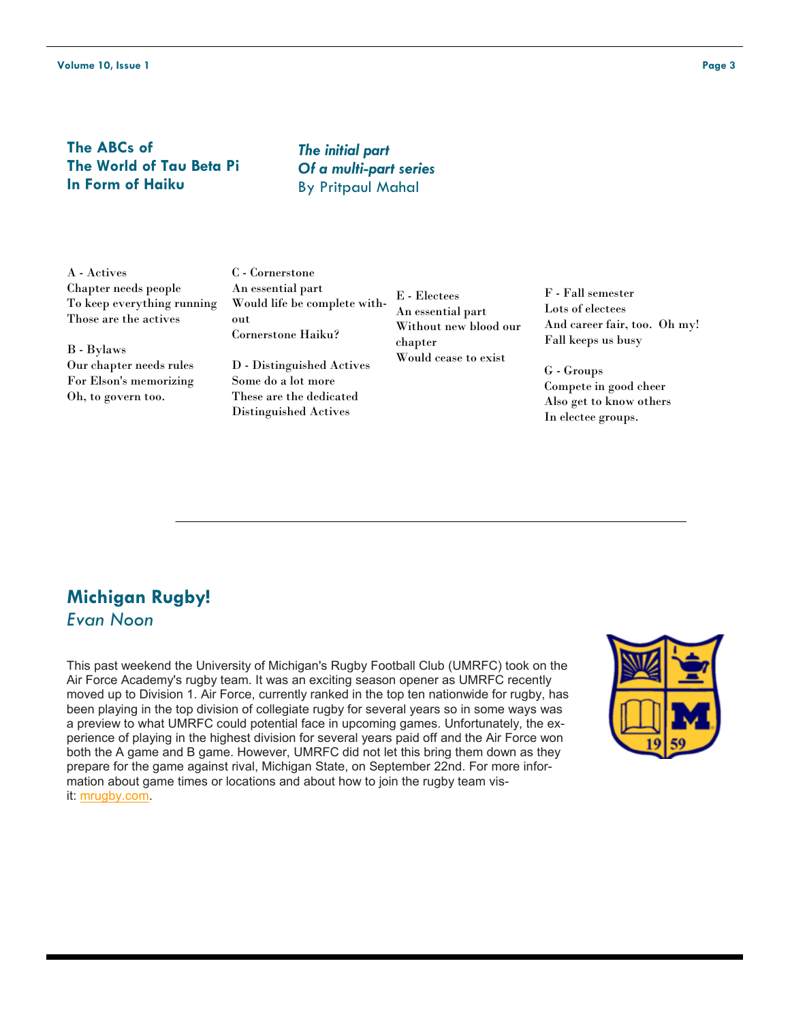### **The ABCs of The World of Tau Beta Pi In Form of Haiku**

*The initial part Of a multi-part series* By Pritpaul Mahal

A - Actives Chapter needs people To keep everything running Those are the actives

B - Bylaws Our chapter needs rules For Elson's memorizing Oh, to govern too.

C - Cornerstone An essential part Would life be complete without Cornerstone Haiku?

D - Distinguished Actives Some do a lot more These are the dedicated Distinguished Actives

E - Electees An essential part Without new blood our chapter Would cease to exist

F - Fall semester Lots of electees And career fair, too. Oh my! Fall keeps us busy

G - Groups Compete in good cheer Also get to know others In electee groups.

### **Michigan Rugby!** *Evan Noon*

This past weekend the University of Michigan's Rugby Football Club (UMRFC) took on the Air Force Academy's rugby team. It was an exciting season opener as UMRFC recently moved up to Division 1. Air Force, currently ranked in the top ten nationwide for rugby, has been playing in the top division of collegiate rugby for several years so in some ways was a preview to what UMRFC could potential face in upcoming games. Unfortunately, the experience of playing in the highest division for several years paid off and the Air Force won both the A game and B game. However, UMRFC did not let this bring them down as they prepare for the game against rival, Michigan State, on September 22nd. For more information about game times or locations and about how to join the rugby team visit: [mrugby.com.](http://mrugby.com/)

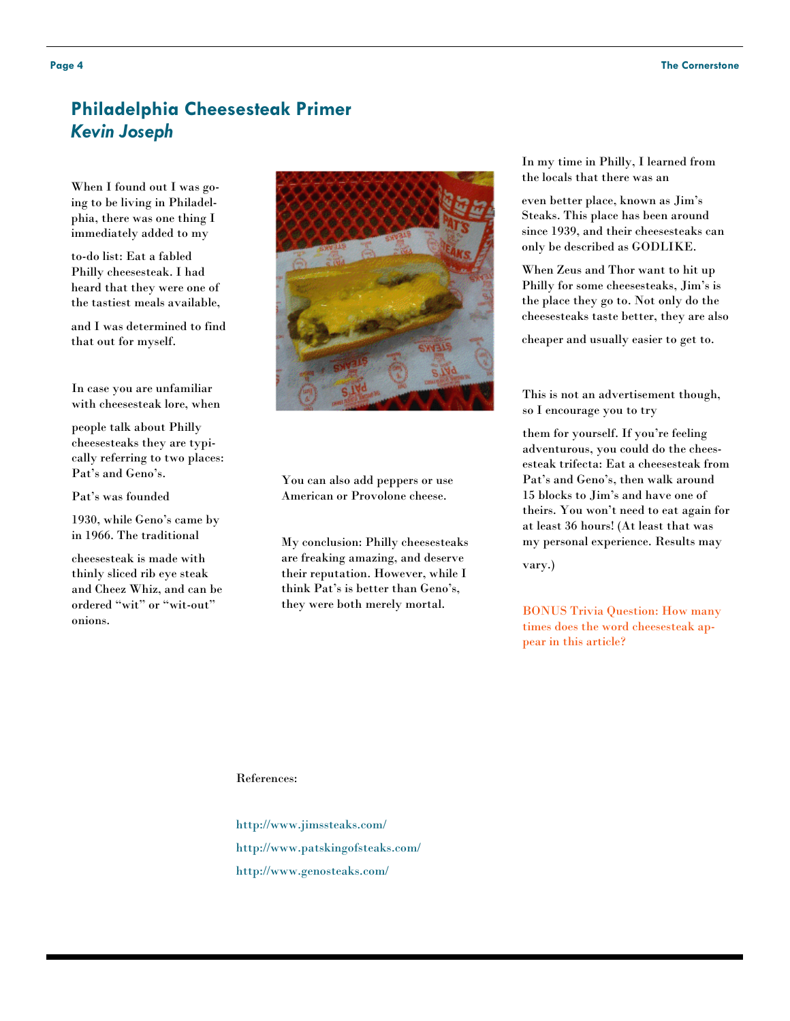### **Philadelphia Cheesesteak Primer** *Kevin Joseph*

When I found out I was going to be living in Philadelphia, there was one thing I immediately added to my

to-do list: Eat a fabled Philly cheesesteak. I had heard that they were one of the tastiest meals available,

and I was determined to find that out for myself.

In case you are unfamiliar with cheesesteak lore, when

people talk about Philly cheesesteaks they are typically referring to two places: Pat's and Geno's.

Pat's was founded

1930, while Geno's came by in 1966. The traditional

cheesesteak is made with thinly sliced rib eye steak and Cheez Whiz, and can be ordered "wit" or "wit-out" onions.



You can also add peppers or use American or Provolone cheese.

My conclusion: Philly cheesesteaks are freaking amazing, and deserve their reputation. However, while I think Pat's is better than Geno's, they were both merely mortal.

In my time in Philly, I learned from the locals that there was an

even better place, known as Jim's Steaks. This place has been around since 1939, and their cheesesteaks can only be described as GODLIKE.

When Zeus and Thor want to hit up Philly for some cheesesteaks, Jim's is the place they go to. Not only do the cheesesteaks taste better, they are also

cheaper and usually easier to get to.

This is not an advertisement though, so I encourage you to try

them for yourself. If you're feeling adventurous, you could do the cheesesteak trifecta: Eat a cheesesteak from Pat's and Geno's, then walk around 15 blocks to Jim's and have one of theirs. You won't need to eat again for at least 36 hours! (At least that was my personal experience. Results may

vary.)

BONUS Trivia Question: How many times does the word cheesesteak appear in this article?

### References:

http://www.jimssteaks.com/ http://www.patskingofsteaks.com/ http://www.genosteaks.com/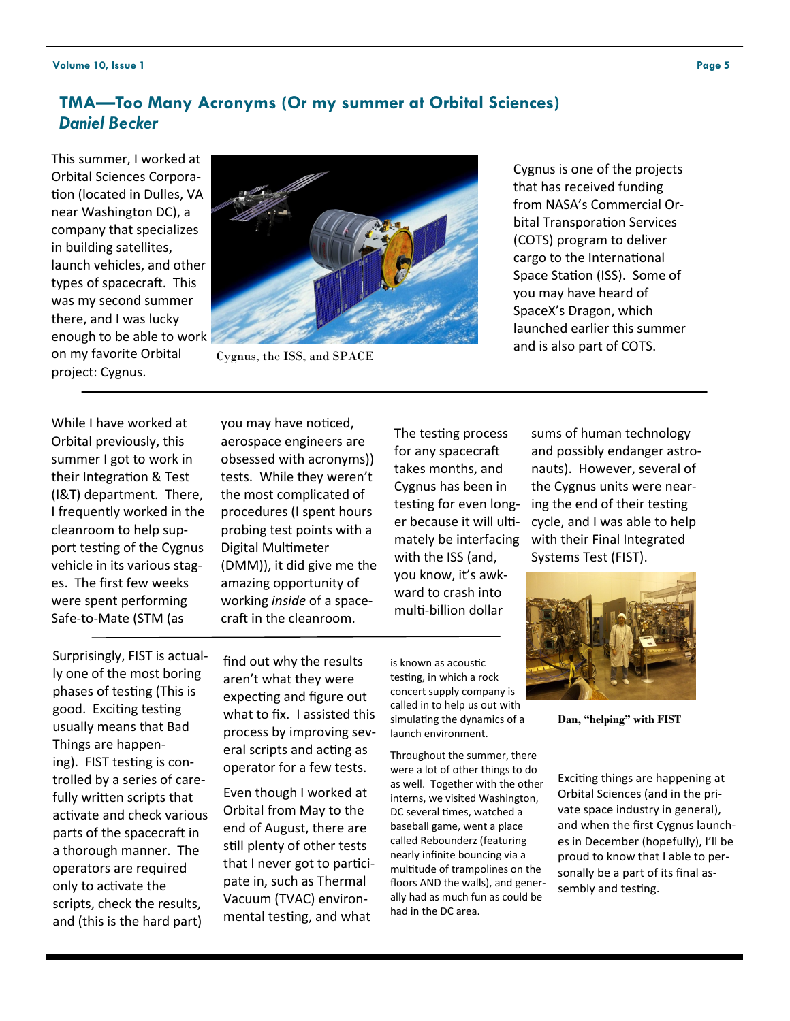### **TMA—Too Many Acronyms (Or my summer at Orbital Sciences)** *Daniel Becker*

This summer, I worked at Orbital Sciences Corporation (located in Dulles, VA near Washington DC), a company that specializes in building satellites, launch vehicles, and other types of spacecraft. This was my second summer there, and I was lucky enough to be able to work on my favorite Orbital project: Cygnus.



Cygnus, the ISS, and SPACE

Cygnus is one of the projects that has received funding from NASA's Commercial Orbital Transporation Services (COTS) program to deliver cargo to the International Space Station (ISS). Some of you may have heard of SpaceX's Dragon, which launched earlier this summer and is also part of COTS.

While I have worked at Orbital previously, this summer I got to work in their Integration & Test (I&T) department. There, I frequently worked in the cleanroom to help support testing of the Cygnus vehicle in its various stages. The first few weeks were spent performing Safe-to-Mate (STM (as

you may have noticed, aerospace engineers are obsessed with acronyms)) tests. While they weren't the most complicated of procedures (I spent hours probing test points with a Digital Multimeter (DMM)), it did give me the amazing opportunity of working *inside* of a spacecraft in the cleanroom.

The testing process for any spacecraft takes months, and Cygnus has been in testing for even longer because it will ultimately be interfacing with the ISS (and, you know, it's awkward to crash into multi-billion dollar

sums of human technology and possibly endanger astronauts). However, several of the Cygnus units were nearing the end of their testing cycle, and I was able to help with their Final Integrated Systems Test (FIST).



**Dan, "helping" with FIST**

Exciting things are happening at Orbital Sciences (and in the private space industry in general), and when the first Cygnus launches in December (hopefully), I'll be proud to know that I able to personally be a part of its final assembly and testing.

Surprisingly, FIST is actually one of the most boring phases of testing (This is good. Exciting testing usually means that Bad Things are happening). FIST testing is controlled by a series of carefully written scripts that activate and check various parts of the spacecraft in a thorough manner. The operators are required only to activate the scripts, check the results, and (this is the hard part)

find out why the results aren't what they were expecting and figure out what to fix. I assisted this process by improving several scripts and acting as operator for a few tests.

Even though I worked at Orbital from May to the end of August, there are still plenty of other tests that I never got to participate in, such as Thermal Vacuum (TVAC) environmental testing, and what

is known as acoustic testing, in which a rock concert supply company is called in to help us out with simulating the dynamics of a launch environment.

Throughout the summer, there were a lot of other things to do as well. Together with the other interns, we visited Washington, DC several times, watched a baseball game, went a place called Rebounderz (featuring nearly infinite bouncing via a multitude of trampolines on the floors AND the walls), and generally had as much fun as could be had in the DC area.